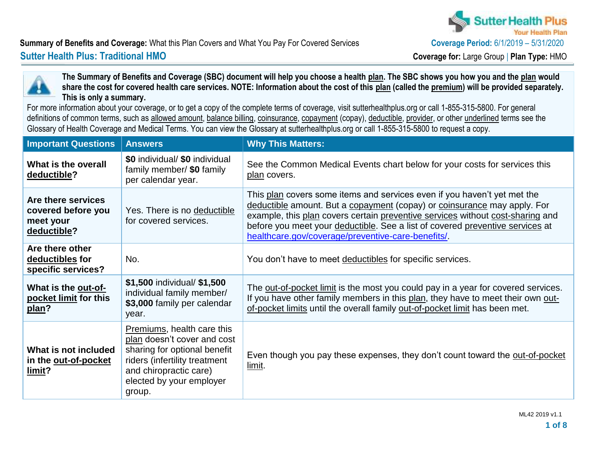

#### **Summary of Benefits and Coverage:** What this Plan Covers and What You Pay For Covered Services **Coverage Period:**  $6/1/2019 - 5/31/2020$ **Sutter Health Plus: Traditional HMO Coverage for:** Large Group | **Plan Type:** HMO



**The Summary of Benefits and Coverage (SBC) document will help you choose a health plan. The SBC shows you how you and the plan would share the cost for covered health care services. NOTE: Information about the cost of this plan (called the premium) will be provided separately. This is only a summary.**

For more information about your coverage, or to get a copy of the complete terms of coverage, visit [sutterhealthplus.org](http://www.sutterhealthplus.org/) or call 1-855-315-5800. For general definitions of common terms, such as allowed amount, balance billing, coinsurance, copayment (copay), deductible, provider, or other underlined terms see the Glossary of Health Coverage and Medical Terms. You can view the Glossary at [sutterhealthplus.org](http://www.sutterhealthplus.org/) or call 1-855-315-5800 to request a copy.

| <b>Important Questions</b>                                           | <b>Answers</b>                                                                                                                                                                             | <b>Why This Matters:</b>                                                                                                                                                                                                                                                                                                                                                      |
|----------------------------------------------------------------------|--------------------------------------------------------------------------------------------------------------------------------------------------------------------------------------------|-------------------------------------------------------------------------------------------------------------------------------------------------------------------------------------------------------------------------------------------------------------------------------------------------------------------------------------------------------------------------------|
| What is the overall<br>deductible?                                   | \$0 individual/ \$0 individual<br>family member/ \$0 family<br>per calendar year.                                                                                                          | See the Common Medical Events chart below for your costs for services this<br>plan covers.                                                                                                                                                                                                                                                                                    |
| Are there services<br>covered before you<br>meet your<br>deductible? | Yes. There is no deductible<br>for covered services.                                                                                                                                       | This plan covers some items and services even if you haven't yet met the<br>deductible amount. But a copayment (copay) or coinsurance may apply. For<br>example, this plan covers certain preventive services without cost-sharing and<br>before you meet your deductible. See a list of covered preventive services at<br>healthcare.gov/coverage/preventive-care-benefits/. |
| Are there other<br>deductibles for<br>specific services?             | No.                                                                                                                                                                                        | You don't have to meet deductibles for specific services.                                                                                                                                                                                                                                                                                                                     |
| What is the out-of-<br>pocket limit for this<br>plan?                | \$1,500 individual/ \$1,500<br>individual family member/<br>\$3,000 family per calendar<br>year.                                                                                           | The <u>out-of-pocket limit</u> is the most you could pay in a year for covered services.<br>If you have other family members in this plan, they have to meet their own out-<br>of-pocket limits until the overall family out-of-pocket limit has been met.                                                                                                                    |
| What is not included<br>in the out-of-pocket<br>limit?               | Premiums, health care this<br>plan doesn't cover and cost<br>sharing for optional benefit<br>riders (infertility treatment<br>and chiropractic care)<br>elected by your employer<br>group. | Even though you pay these expenses, they don't count toward the out-of-pocket<br>limit.                                                                                                                                                                                                                                                                                       |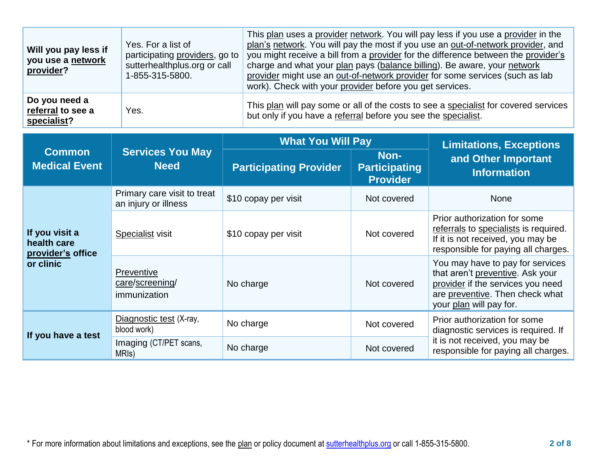| Will you pay less if<br>you use a network<br>provider? | Yes. For a list of<br>participating providers, go to<br>sutterhealthplus.org or call<br>1-855-315-5800. | This plan uses a provider network. You will pay less if you use a provider in the<br>plan's network. You will pay the most if you use an out-of-network provider, and<br>you might receive a bill from a provider for the difference between the provider's<br>charge and what your plan pays (balance billing). Be aware, your network<br>provider might use an out-of-network provider for some services (such as lab<br>work). Check with your provider before you get services. |
|--------------------------------------------------------|---------------------------------------------------------------------------------------------------------|-------------------------------------------------------------------------------------------------------------------------------------------------------------------------------------------------------------------------------------------------------------------------------------------------------------------------------------------------------------------------------------------------------------------------------------------------------------------------------------|
| Do you need a<br>referral to see a<br>specialist?      | Yes.                                                                                                    | This plan will pay some or all of the costs to see a specialist for covered services<br>but only if you have a referral before you see the specialist.                                                                                                                                                                                                                                                                                                                              |

|                                                                 | <b>Services You May</b><br><b>Need</b>              | <b>What You Will Pay</b>      | <b>Limitations, Exceptions</b>                  |                                                                                                                                                                         |
|-----------------------------------------------------------------|-----------------------------------------------------|-------------------------------|-------------------------------------------------|-------------------------------------------------------------------------------------------------------------------------------------------------------------------------|
| <b>Common</b><br><b>Medical Event</b>                           |                                                     | <b>Participating Provider</b> | Non-<br><b>Participating</b><br><b>Provider</b> | and Other Important<br><b>Information</b>                                                                                                                               |
| If you visit a<br>health care<br>provider's office<br>or clinic | Primary care visit to treat<br>an injury or illness | \$10 copay per visit          | Not covered                                     | <b>None</b>                                                                                                                                                             |
|                                                                 | <b>Specialist visit</b>                             | \$10 copay per visit          | Not covered                                     | Prior authorization for some<br>referrals to specialists is required.<br>If it is not received, you may be<br>responsible for paying all charges.                       |
|                                                                 | Preventive<br>care/screening/<br>immunization       | No charge                     | Not covered                                     | You may have to pay for services<br>that aren't preventive. Ask your<br>provider if the services you need<br>are preventive. Then check what<br>your plan will pay for. |
| If you have a test                                              | Diagnostic test (X-ray,<br>blood work)              | No charge                     | Not covered                                     | Prior authorization for some<br>diagnostic services is required. If                                                                                                     |
|                                                                 | Imaging (CT/PET scans,<br>MRI <sub>s</sub> )        | No charge                     | Not covered                                     | it is not received, you may be<br>responsible for paying all charges.                                                                                                   |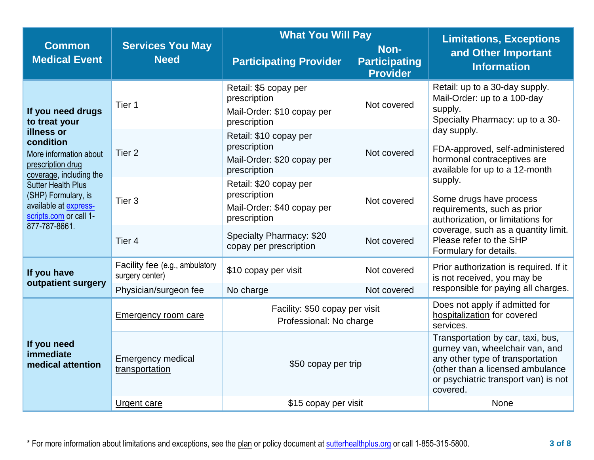|                                                                                                                                                                                                                                                                 |                                                   | <b>What You Will Pay</b>                                                             | <b>Limitations, Exceptions</b>                  |                                                                                                                                                                                                    |  |
|-----------------------------------------------------------------------------------------------------------------------------------------------------------------------------------------------------------------------------------------------------------------|---------------------------------------------------|--------------------------------------------------------------------------------------|-------------------------------------------------|----------------------------------------------------------------------------------------------------------------------------------------------------------------------------------------------------|--|
| <b>Common</b><br><b>Medical Event</b>                                                                                                                                                                                                                           | <b>Services You May</b><br><b>Need</b>            | <b>Participating Provider</b>                                                        | Non-<br><b>Participating</b><br><b>Provider</b> |                                                                                                                                                                                                    |  |
| If you need drugs<br>to treat your<br>illness or<br>condition<br>More information about<br>prescription drug<br>coverage, including the<br><b>Sutter Health Plus</b><br>(SHP) Formulary, is<br>available at express-<br>scripts.com or call 1-<br>877-787-8661. | Tier 1                                            | Retail: \$5 copay per<br>prescription<br>Mail-Order: \$10 copay per<br>prescription  | Not covered                                     | Retail: up to a 30-day supply.<br>Mail-Order: up to a 100-day<br>supply.<br>Specialty Pharmacy: up to a 30-                                                                                        |  |
|                                                                                                                                                                                                                                                                 | Tier <sub>2</sub>                                 | Retail: \$10 copay per<br>prescription<br>Mail-Order: \$20 copay per<br>prescription | Not covered                                     | day supply.<br>FDA-approved, self-administered<br>hormonal contraceptives are<br>available for up to a 12-month                                                                                    |  |
|                                                                                                                                                                                                                                                                 | Tier <sub>3</sub>                                 | Retail: \$20 copay per<br>prescription<br>Mail-Order: \$40 copay per<br>prescription | Not covered                                     | supply.<br>Some drugs have process<br>requirements, such as prior<br>authorization, or limitations for<br>coverage, such as a quantity limit.<br>Please refer to the SHP<br>Formulary for details. |  |
|                                                                                                                                                                                                                                                                 | Tier <sub>4</sub>                                 | Specialty Pharmacy: \$20<br>copay per prescription                                   | Not covered                                     |                                                                                                                                                                                                    |  |
| If you have<br>outpatient surgery                                                                                                                                                                                                                               | Facility fee (e.g., ambulatory<br>surgery center) | \$10 copay per visit                                                                 | Not covered                                     | Prior authorization is required. If it<br>is not received, you may be                                                                                                                              |  |
|                                                                                                                                                                                                                                                                 | Physician/surgeon fee                             | Not covered<br>No charge                                                             |                                                 | responsible for paying all charges.                                                                                                                                                                |  |
|                                                                                                                                                                                                                                                                 | <b>Emergency room care</b>                        | Facility: \$50 copay per visit<br>Professional: No charge                            |                                                 | Does not apply if admitted for<br>hospitalization for covered<br>services.                                                                                                                         |  |
| If you need<br>immediate<br>medical attention                                                                                                                                                                                                                   | <b>Emergency medical</b><br>transportation        | \$50 copay per trip                                                                  |                                                 | Transportation by car, taxi, bus,<br>gurney van, wheelchair van, and<br>any other type of transportation<br>(other than a licensed ambulance<br>or psychiatric transport van) is not<br>covered.   |  |
|                                                                                                                                                                                                                                                                 | Urgent care                                       | \$15 copay per visit                                                                 | <b>None</b>                                     |                                                                                                                                                                                                    |  |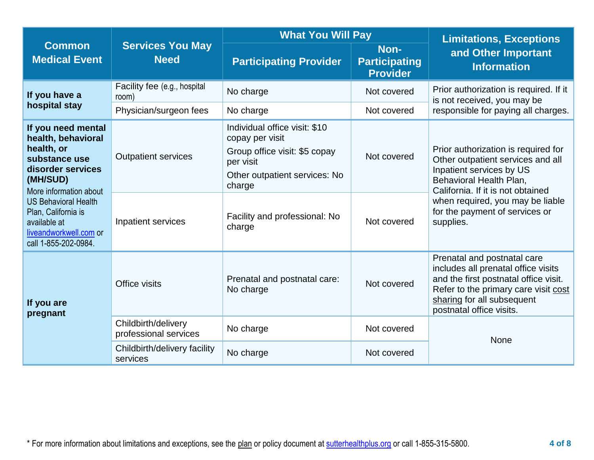|                                                                                                                                                                                                                                                            |                                                  | <b>What You Will Pay</b>                                                                                                                                                             | <b>Limitations, Exceptions</b>                  |                                                                                                                                                                                                                                                         |  |
|------------------------------------------------------------------------------------------------------------------------------------------------------------------------------------------------------------------------------------------------------------|--------------------------------------------------|--------------------------------------------------------------------------------------------------------------------------------------------------------------------------------------|-------------------------------------------------|---------------------------------------------------------------------------------------------------------------------------------------------------------------------------------------------------------------------------------------------------------|--|
| <b>Common</b><br><b>Medical Event</b>                                                                                                                                                                                                                      | <b>Services You May</b><br><b>Need</b>           | <b>Participating Provider</b>                                                                                                                                                        | Non-<br><b>Participating</b><br><b>Provider</b> | and Other Important<br><b>Information</b>                                                                                                                                                                                                               |  |
| If you have a                                                                                                                                                                                                                                              | Facility fee (e.g., hospital<br>room)            | No charge                                                                                                                                                                            | Not covered                                     | Prior authorization is required. If it<br>is not received, you may be                                                                                                                                                                                   |  |
| hospital stay                                                                                                                                                                                                                                              | Physician/surgeon fees                           | No charge                                                                                                                                                                            | Not covered                                     | responsible for paying all charges.                                                                                                                                                                                                                     |  |
| If you need mental<br>health, behavioral<br>health, or<br>substance use<br>disorder services<br>(MH/SUD)<br>More information about<br><b>US Behavioral Health</b><br>Plan, California is<br>available at<br>liveandworkwell.com or<br>call 1-855-202-0984. | <b>Outpatient services</b><br>Inpatient services | Individual office visit: \$10<br>copay per visit<br>Group office visit: \$5 copay<br>per visit<br>Other outpatient services: No<br>charge<br>Facility and professional: No<br>charge | Not covered<br>Not covered                      | Prior authorization is required for<br>Other outpatient services and all<br>Inpatient services by US<br>Behavioral Health Plan,<br>California. If it is not obtained<br>when required, you may be liable<br>for the payment of services or<br>supplies. |  |
| If you are<br>pregnant                                                                                                                                                                                                                                     | Office visits                                    | Prenatal and postnatal care:<br>No charge                                                                                                                                            | Not covered                                     | Prenatal and postnatal care<br>includes all prenatal office visits<br>and the first postnatal office visit.<br>Refer to the primary care visit cost<br>sharing for all subsequent<br>postnatal office visits.                                           |  |
|                                                                                                                                                                                                                                                            | Childbirth/delivery<br>professional services     | No charge<br>Not covered                                                                                                                                                             |                                                 | None                                                                                                                                                                                                                                                    |  |
|                                                                                                                                                                                                                                                            | Childbirth/delivery facility<br>services         | No charge                                                                                                                                                                            | Not covered                                     |                                                                                                                                                                                                                                                         |  |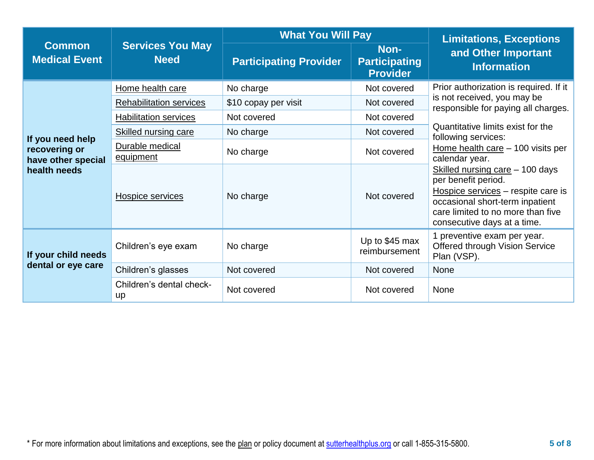|                                                                         |                                           | <b>What You Will Pay</b>      | <b>Limitations, Exceptions</b>                  |                                                                                                                                                                                                     |  |
|-------------------------------------------------------------------------|-------------------------------------------|-------------------------------|-------------------------------------------------|-----------------------------------------------------------------------------------------------------------------------------------------------------------------------------------------------------|--|
| <b>Common</b><br><b>Medical Event</b>                                   | <b>Services You May</b><br><b>Need</b>    | <b>Participating Provider</b> | Non-<br><b>Participating</b><br><b>Provider</b> | and Other Important<br><b>Information</b>                                                                                                                                                           |  |
|                                                                         | Home health care                          | No charge                     | Not covered                                     | Prior authorization is required. If it                                                                                                                                                              |  |
|                                                                         | <b>Rehabilitation services</b>            | \$10 copay per visit          | Not covered                                     | is not received, you may be<br>responsible for paying all charges.                                                                                                                                  |  |
|                                                                         | <b>Habilitation services</b>              | Not covered                   | Not covered                                     |                                                                                                                                                                                                     |  |
|                                                                         | <b>Skilled nursing care</b>               | No charge                     | Not covered                                     | Quantitative limits exist for the<br>following services:                                                                                                                                            |  |
| If you need help<br>recovering or<br>have other special<br>health needs | Durable medical<br>No charge<br>equipment |                               | Not covered                                     | Home health care - 100 visits per<br>calendar year.                                                                                                                                                 |  |
|                                                                         | <b>Hospice services</b>                   | No charge                     | Not covered                                     | Skilled nursing care - 100 days<br>per benefit period.<br>Hospice services - respite care is<br>occasional short-term inpatient<br>care limited to no more than five<br>consecutive days at a time. |  |
| If your child needs<br>dental or eye care                               | Children's eye exam                       | No charge                     | Up to \$45 max<br>reimbursement                 | 1 preventive exam per year.<br><b>Offered through Vision Service</b><br>Plan (VSP).                                                                                                                 |  |
|                                                                         | Children's glasses                        | Not covered                   | Not covered                                     | <b>None</b>                                                                                                                                                                                         |  |
|                                                                         | Children's dental check-<br><b>up</b>     | Not covered                   | Not covered                                     | None                                                                                                                                                                                                |  |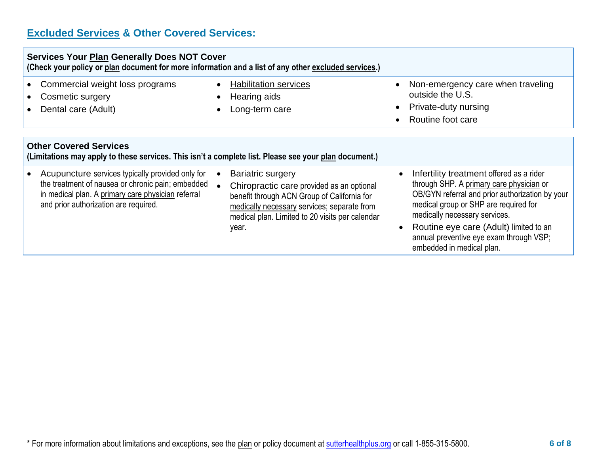# **Excluded Services & Other Covered Services:**

| <b>Services Your Plan Generally Does NOT Cover</b><br>(Check your policy or plan document for more information and a list of any other excluded services.)                                           |                                                                                                                                                                                                                                 |                                                                                                                                                                                                                                                                                                                                     |
|------------------------------------------------------------------------------------------------------------------------------------------------------------------------------------------------------|---------------------------------------------------------------------------------------------------------------------------------------------------------------------------------------------------------------------------------|-------------------------------------------------------------------------------------------------------------------------------------------------------------------------------------------------------------------------------------------------------------------------------------------------------------------------------------|
| Commercial weight loss programs<br>Cosmetic surgery<br>Dental care (Adult)                                                                                                                           | <b>Habilitation services</b><br>Hearing aids<br>Long-term care                                                                                                                                                                  | Non-emergency care when traveling<br>$\bullet$<br>outside the U.S.<br>Private-duty nursing<br>Routine foot care<br>$\bullet$                                                                                                                                                                                                        |
| <b>Other Covered Services</b><br>(Limitations may apply to these services. This isn't a complete list. Please see your plan document.)                                                               |                                                                                                                                                                                                                                 |                                                                                                                                                                                                                                                                                                                                     |
| Acupuncture services typically provided only for<br>the treatment of nausea or chronic pain; embedded<br>in medical plan. A primary care physician referral<br>and prior authorization are required. | <b>Bariatric surgery</b><br>Chiropractic care provided as an optional<br>benefit through ACN Group of California for<br>medically necessary services; separate from<br>medical plan. Limited to 20 visits per calendar<br>year. | Infertility treatment offered as a rider<br>through SHP. A primary care physician or<br>OB/GYN referral and prior authorization by your<br>medical group or SHP are required for<br>medically necessary services.<br>Routine eye care (Adult) limited to an<br>annual preventive eye exam through VSP;<br>embedded in medical plan. |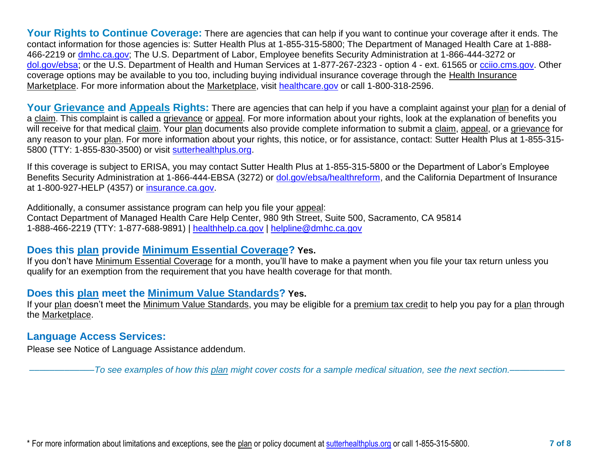Your Rights to Continue Coverage: There are agencies that can help if you want to continue your coverage after it ends. The contact information for those agencies is: Sutter Health Plus at 1-855-315-5800; The Department of Managed Health Care at 1-888 466-2219 or [dmhc.ca.gov;](http://dmhc.ca.gov/) The U.S. Department of Labor, Employee benefits Security Administration at 1-866-444-3272 or [dol.gov/ebsa;](http://dol.gov/ebsa) or the U.S. Department of Health and Human Services at 1-877-267-2323 - option 4 - ext. 61565 or [cciio.cms.gov.](http://www.cciio.cms.gov/) Other coverage options may be available to you too, including buying individual insurance coverage through the Health Insurance Marketplace. For more information about the Marketplace, visit [healthcare.gov](http://www.healthcare.gov/) or call 1-800-318-2596.

Your Grievance and Appeals Rights: There are agencies that can help if you have a complaint against your plan for a denial of a claim. This complaint is called a grievance or appeal. For more information about your rights, look at the explanation of benefits you will receive for that medical claim. Your plan documents also provide complete information to submit a claim, appeal, or a grievance for any reason to your plan. For more information about your rights, this notice, or for assistance, contact: Sutter Health Plus at 1-855-315- 5800 (TTY: 1-855-830-3500) or visit [sutterhealthplus.org.](https://www.sutterhealthplus.org/)

If this coverage is subject to ERISA, you may contact Sutter Health Plus at 1-855-315-5800 or the Department of Labor's Employee Benefits Security Administration at 1-866-444-EBSA (3272) or [dol.gov/ebsa/healthreform,](https://www.dol.gov/agencies/ebsa/laws-and-regulations/laws/affordable-care-act/for-employers-and-advisers) and the California Department of Insurance at 1-800-927-HELP (4357) or [insurance.ca.gov.](http://www.insurance.ca.gov/)

Additionally, a consumer assistance program can help you file your appeal: Contact Department of Managed Health Care Help Center, 980 9th Street, Suite 500, Sacramento, CA 95814 1-888-466-2219 (TTY: 1-877-688-9891) | [healthhelp.ca.gov](http://www.dmhc.ca.gov/?referral=healthhelp.ca.gov) | [helpline@dmhc.ca.gov](mailto:helpline@dmhc.ca.gov)

### **Does this plan provide Minimum Essential Coverage? Yes.**

If you don't have Minimum Essential Coverage for a month, you'll have to make a payment when you file your tax return unless you qualify for an exemption from the requirement that you have health coverage for that month.

## **Does this plan meet the Minimum Value Standards? Yes.**

If your plan doesn't meet the Minimum Value Standards, you may be eligible for a premium tax credit to help you pay for a plan through the Marketplace.

### **Language Access Services:**

Please see Notice of Language Assistance addendum.

–––––––––––––*To see examples of how this plan might cover costs for a sample medical situation, see the next section.–––––––––––*